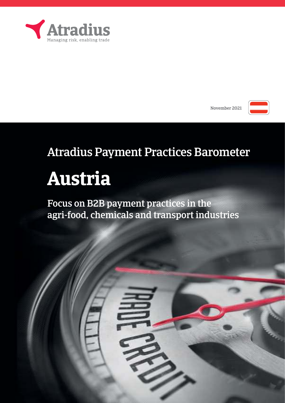

November 2021



## Atradius Payment Practices Barometer

# **Austria**

Focus on B2B payment practices in the agri-food, chemicals and transport industries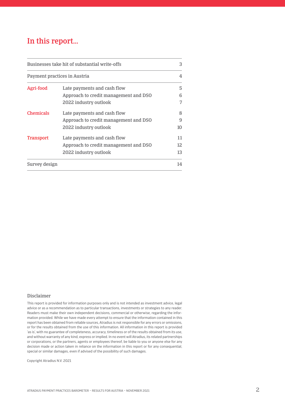### In this report…

| <b>Businesses take hit of substantial write-offs</b> |                                       |    |
|------------------------------------------------------|---------------------------------------|----|
| Payment practices in Austria                         |                                       | 4  |
| Agri-food                                            | Late payments and cash flow           | 5  |
|                                                      | Approach to credit management and DSO | 6  |
|                                                      | 2022 industry outlook                 | 7  |
| <b>Chemicals</b>                                     | Late payments and cash flow           | 8  |
|                                                      | Approach to credit management and DSO | 9  |
|                                                      | 2022 industry outlook                 | 10 |
| <b>Transport</b>                                     | Late payments and cash flow           | 11 |
|                                                      | Approach to credit management and DSO | 12 |
|                                                      | 2022 industry outlook                 | 13 |
| Survey design                                        |                                       | 14 |

### Disclaimer

This report is provided for information purposes only and is not intended as investment advice, legal advice or as a recommendation as to particular transactions, investments or strategies to any reader. Readers must make their own independent decisions, commercial or otherwise, regarding the information provided. While we have made every attempt to ensure that the information contained in this report has been obtained from reliable sources, Atradius is not responsible for any errors or omissions, or for the results obtained from the use of this information. All information in this report is provided 'as is', with no guarantee of completeness, accuracy, timeliness or of the results obtained from its use, and without warranty of any kind, express or implied. In no event will Atradius, its related partnerships or corporations, or the partners, agents or employees thereof, be liable to you or anyone else for any decision made or action taken in reliance on the information in this report or for any consequential, special or similar damages, even if advised of the possibility of such damages.

Copyright Atradius N.V. 2021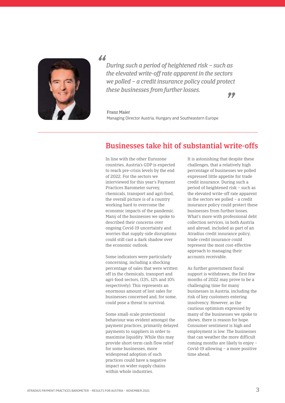

*"*

*During such a period of heightened risk – such as the elevated write-off rate apparent in the sectors we polled – a credit insurance policy could protect these businesses from further losses. "*

Franz Maier Managing Director Austria, Hungary and Southeastern Europe

### Businesses take hit of substantial write-offs

In line with the other Eurozone countries, Austria's GDP is expected to reach pre-crisis levels by the end of 2022. For the sectors we interviewed for this year's Payment Practices Barometer survey, chemicals, transport and agri-food, the overall picture is of a country working hard to overcome the economic impacts of the pandemic. Many of the businesses we spoke to described their concerns over ongoing Covid-19 uncertainty and worries that supply-side disruptions could still cast a dark shadow over the economic outlook.

Some indicators were particularly concerning, including a shocking percentage of sales that were written off in the chemicals, transport and agri-food sectors, (13%, 12% and 10% respectively). This represents an enormous amount of lost sales for businesses concerned and, for some, could pose a threat to survival.

Some small-scale protectionist behaviour was evident amongst the payment practices, primarily delayed payments to suppliers in order to maximise liquidity. While this may provide short-term cash flow relief for some businesses, more widespread adoption of such practices could have a negative impact on wider supply chains within whole industries.

It is astonishing that despite these challenges, that a relatively high percentage of businesses we polled expressed little appetite for trade credit insurance. During such a period of heightened risk – such as the elevated write-off rate apparent in the sectors we polled – a credit insurance policy could protect these businesses from further losses. What's more with professional debt collection services, in both Austria and abroad, included as part of an Atradius credit insurance policy, trade credit insurance could represent the most cost-effective approach to managing their accounts receivable.

As further government fiscal support is withdrawn, the first few months of 2022 may prove to be a challenging time for many businesses in Austria, including the risk of key customers entering insolvency. However, as the cautious optimism expressed by many of the businesses we spoke to shows, there is reason for hope. Consumer sentiment is high and employment is low. The businesses that can weather the more difficult coming months are likely to enjoy – Covid-19 allowing – a more positive time ahead.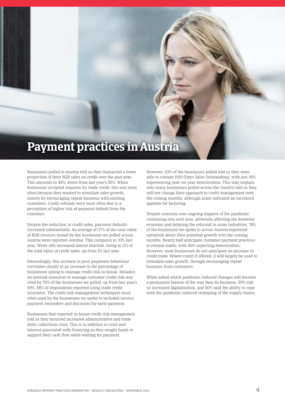

Businesses polled in Austria told us they transacted a lower proportion of their B2B sales on credit over the past year. This amounts to 48%, down from last year's 55%. When businesses accepted requests for trade credit, this was most often because they wanted to stimulate sales growth, mainly by encouraging repeat business with existing customers. Credit refusals were most often due to a perception of higher risk of payment default from the customer.

Despite the reduction in credit sales, payment defaults increased substantially. An average of 57% of the total value of B2B invoices issued by the businesses we polled across Austria were reported overdue. This compares to 33% last year. Write-offs increased almost fourfold, rising to 11% of the total value of credit sales, up from 3% last year.

Interestingly, this increase in poor payments behaviour correlates closely to an increase in the percentage of businesses opting to manage credit risk in-house. Reliance on internal resources to manage customer credit risk was cited by 70% of the businesses we polled, up from last year's 49%. 58% of respondents reported using trade credit insurance. The credit risk management techniques most often used by the businesses we spoke to included invoice payment reminders and discounts for early payment.

Businesses that reported in-house credit risk management told us they incurred increased administrative and trade debts collections costs. This is in addition to costs and interest associated with financing as they sought funds to support their cash flow while waiting for payment.

However, 63% of the businesses polled told us they were able to contain DSO (Days Sales Outstanding), with just 36% experiencing year-on-year deterioration. This may explain why many businesses polled across the country told us they will not change their approach to credit management over the coming months, although some indicated an increased appetite for factoring.

Despite concerns over ongoing impacts of the pandemic continuing into next year, adversely affecting the domestic economy and delaying the rebound in some industries, 78% of the businesses we spoke to across Austria expressed optimism about their potential growth over the coming months. Nearly half anticipate customer payment practices to remain stable, with 40% expecting deterioration. However, most businesses do not anticipate an increase in credit trade. Where credit if offered, it will largely be used to stimulate sales growth, through encouraging repeat business from customers.

When asked which pandemic-induced changes will become a permanent feature of the way they do business, 59% told us increased digitalisation, and 50% said the ability to cope with the pandemic-induced reshaping of the supply chains.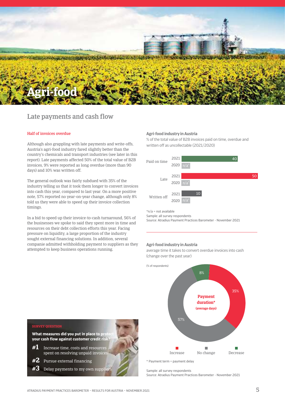

### Late payments and cash flow

### Half of invoices overdue

Although also grappling with late payments and write-offs, Austria's agri-food industry fared slightly better than the country's chemicals and transport industries (see later in this report). Late payments affected 50% of the total value of B2B invoices, 9% were reported as long overdue (more than 90 days) and 10% was written off.

The general outlook was fairly subdued with 35% of the industry telling us that it took them longer to convert invoices into cash this year, compared to last year. On a more positive note, 57% reported no year-on-year change, although only 8% told us they were able to speed up their invoice collection timings.

In a bid to speed up their invoice-to-cash turnaround, 56% of the businesses we spoke to said they spent more in time and resources on their debt collection efforts this year. Facing pressure on liquidity, a large proportion of the industry sought external financing solutions. In addition, several companie admitted withholding payment to suppliers as they attempted to keep business operations running.

### **Agri-food industry in Austria**

% of the total value of B2B invoices paid on time, overdue and written off as uncollectable (2021/2020)



<sup>\*</sup>n/a = not available

source: Atradius Payment Practices Barometer - November 2021

### **Agri-food industry in Austria**

average time it takes to convert overdue invoices into cash (change over the past year)



sample: all survey respondents source: Atradius Payment Practices Barometer - November 2021

#### **SURVEY QUESTION**

**What measures did you put in place to prote your cash flow against customer credit risk?**

- **#1** Increase time, costs and resources spent on resolving unpaid invoice
- **#2** Pursue external financing
- **#3** Delay payments to my own supplie

sample: all survey respondents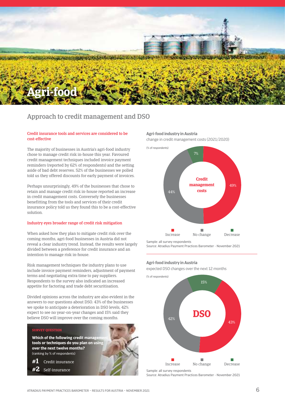

### Approach to credit management and DSO

### Credit insurance tools and services are considered to be cost-effective

The majority of businesses in Austria's agri-food industry chose to manage credit risk in-house this year. Favoured credit management techniques included invoice payment reminders (reported by 62% of respondents) and the setting aside of bad debt reserves. 52% of the businesses we polled told us they offered discounts for early payment of invoices.

Perhaps unsurprisingly, 49% of the businesses that chose to retain and manage credit risk in-house reported an increase in credit management costs. Conversely the businesses benefitting from the tools and services of their credit insurance policy told us they found this to be a cost-effective solution.

### Industry eyes broader range of credit risk mitigation

When asked how they plan to mitigate credit risk over the coming months, agri-food businesses in Austria did not reveal a clear industry trend. Instead, the results were largely divided between a preference for credit insurance and an intention to manage risk in-house.

Risk management techniques the industry plans to use include invoice payment reminders, adjustment of payment terms and negotiating extra time to pay suppliers. Respondents to the survey also indicated an increased appetite for factoring and trade debt securitisation.

Divided opinions across the industry are also evident in the answers to our questions about DSO. 43% of the businesses we spoke to anticipate a deterioration in DSO levels, 42% expect to see no year-on-year changes and 15% said they believe DSO will improve over the coming months.

### **Survey queStion**

**Which of the following credit managen tools or techniques do you plan on using over the next twelve months?** (ranking by % of respondents)

**#1** Credit insurance

**#2** Self-insurance

**Agri-food industry in Austria**

change in credit management costs (2021/2020)



sample: all survey respondents source: Atradius Payment Practices Barometer - November 2021

#### **Agri-food industry in Austria**

expected DSO changes over the next 12 months



source: Atradius Payment Practices Barometer - November 2021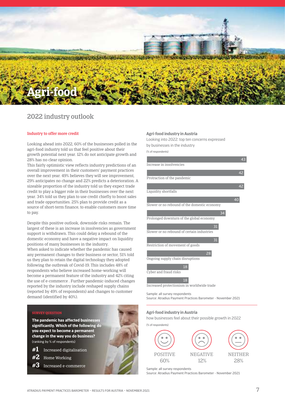

### 2022 industry outlook

### Industry to offer more credit

Looking ahead into 2022, 60% of the businesses polled in the agri-food industry told us that feel positive about their growth potential next year. 12% do not anticipate growth and 28% has no clear opinion.

This fairly optimistic view reflects industry predictions of an overall improvement in their customers' payment practices over the next year. 49% believes they will see improvement, 29% anticipates no change and 22% predicts a deterioration. A sizeable proportion of the industry told us they expect trade credit to play a bigger role in their businesses over the next year. 34% told us they plan to use credit chiefly to boost sales and trade opportunities. 25% plan to provide credit as a source of short-term finance, to enable customers more time to pay.

Despite this positive outlook, downside risks remain. The largest of these is an increase in insolvencies as government support is withdrawn. This could delay a rebound of the domestic economy and have a negative impact on liquidity positions of many businesses in the industry. When asked to indicate whether the pandemic has caused any permanent changes to their business or sector, 51% told us they plan to retain the digital technology they adopted following the outbreak of Covid-19. This includes 48% of respondents who believe increased home-working will become a permanent feature of the industry and 42% citing the use of e-commerce . Further pandemic-induced changes reported by the industry include reshaped supply chains (reported by 49% of respondents) and changes to customer demand (identified by 40%).

### **Survey queStion The pandemic has affected businesses significantly. Which of the following do you expect to become a permanent change in the way you do business?**

(ranking by % of respondents)

- **#1** Increased digitalisation
- **#2** Home Working
- **#3** Increased e-commerce

### **Agri-food industry in Austria**

looking into 2022: top ten concerns expressed by businesses in the industry

(% of respondents)



sample: all survey respondents source: Atradius Payment Practices Barometer - November 2021

### **Agri-food industry in Austria**

how businesses feel about their possible growth in 2022



sample: all survey respondents

source: Atradius Payment Practices Barometer - November 2021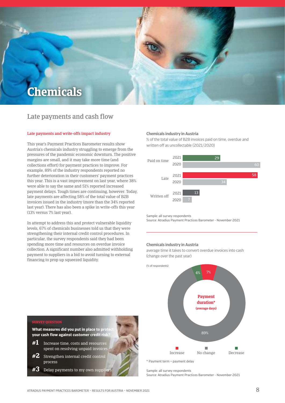

### Late payments and cash flow

### Late payments and write-offs impact industry

This year's Payment Practices Barometer results show Austria's chemicals industry struggling to emerge from the pressures of the pandemic economic downturn. The positive margins are small, and it may take more time (and collections effort) for payment practices to improve. For example, 89% of the industry respondents reported no further deterioration in their customers' payment practices this year. This is a vast improvement on last year, where 38% were able to say the same and 51% reported increased payment delays. Tough times are continuing, however. Today, late payments are affecting 58% of the total value of B2B invoices issued in the industry (more than the 34% reported last year). There has also been a spike in write-offs this year (13% versus 7% last year).

In attempt to address this and protect vulnerable liquidity levels, 67% of chemicals businesses told us that they were strengthening their internal credit control procedures. In particular, the survey respondents said they had been spending more time and resources on overdue invoice collection. A significant number also admitted withholding payment to suppliers in a bid to avoid turning to external financing to prop up squeezed liquidity.

#### **Chemicals industry in Austria**

% of the total value of B2B invoices paid on time, overdue and written off as uncollectable (2021/2020)



sample: all survey respondents

source: Atradius Payment Practices Barometer - November 2021

#### **Chemicals industry in Austria**

average time it takes to convert overdue invoices into cash (change over the past year)



#### sample: all survey respondents source: Atradius Payment Practices Barometer - November 2021

### **Survey queStion**

**What measures did you put in place to prote your cash flow against customer credit risk?**

- **#1** Increase time, costs and resources spent on resolving unpaid invoice
- **#2** Strengthen internal credit control process
- **#3** Delay payments to my own suppliers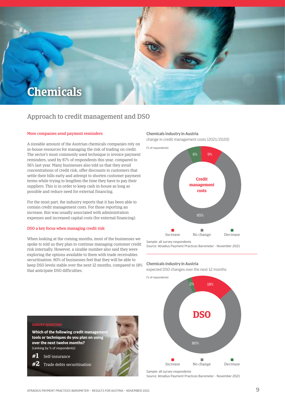

### Approach to credit management and DSO

### More companies send payment reminders

A sizeable amount of the Austrian chemicals companies rely on in-house resources for managing the risk of trading on credit. The sector's most commonly used technique is invoice payment reminders, used by 87% of respondents this year, compared to 56% last year. Many businesses also told us that they avoid concentrations of credit risk, offer discounts to customers that settle their bills early and attempt to shorten customer payment terms while trying to lengthen the time they have to pay their suppliers. This is in order to keep cash in-house as long as possible and reduce need for external financing.

For the most part, the industry reports that it has been able to contain credit management costs. For those reporting an increase, this was usually associated with administration expenses and increased capital costs (for external financing).

### DSO a key focus when managing credit risk

When looking at the coming months, most of the businesses we spoke to told us they plan to continue managing customer credit risk internally. However, a sizable number also said they were exploring the options available to them with trade receivables securitisation. 80% of businesses feel that they will be able to keep DSO levels stable over the next 12 months, compared to 18% that anticipate DSO difficulties.

### **Chemicals industry in Austria**

change in credit management costs (2021/2020)



sample: all survey respondents

source: Atradius Payment Practices Barometer - November 2021

### **Chemicals industry in Austria**

expected DSO changes over the next 12 months



#### source: Atradius Payment Practices Barometer - November 2021

**Which of the following credit management tools or techniques do you plan on using over the next twelve months?** (ranking by % of respondents)

**#1** Self-insurance

**#2** Trade debts securitisation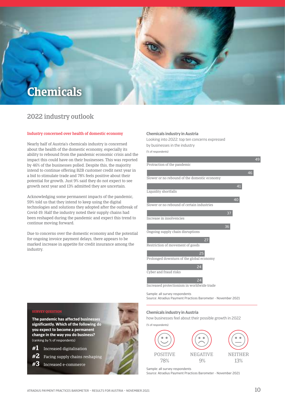

### 2022 industry outlook

### Industry concerned over health of domestic economy

Nearly half of Austria's chemicals industry is concerned about the health of the domestic economy, especially its ability to rebound from the pandemic economic crisis and the impact this could have on their businesses. This was reported by 46% of the businesses polled. Despite this, the majority intend to continue offering B2B customer credit next year in a bid to stimulate trade and 78% feels positive about their potential for growth. Just 9% said they do not expect to see growth next year and 13% admitted they are uncertain.

Acknowledging some permanent impacts of the pandemic, 59% told us that they intend to keep using the digital technologies and solutions they adopted after the outbreak of Covid-19. Half the industry noted their supply chains had been reshaped during the pandemic and expect this trend to continue moving forward.

Due to concerns over the domestic economy and the potential for ongoing invoice payment delays, there appears to be marked increase in appetite for credit insurance among the industry.

### **Chemicals industry in Austria**

looking into 2022: top ten concerns expressed by businesses in the industry

(% of respondents)

|                                              |    |    |    | 49 |
|----------------------------------------------|----|----|----|----|
| Protraction of the pandemic                  |    |    |    |    |
|                                              |    |    | 46 |    |
| Slower or no rebound of the domestic economy |    |    |    |    |
|                                              |    | 41 |    |    |
| Liquidity shortfalls                         |    |    |    |    |
|                                              |    | 40 |    |    |
| Slower or no rebound of certain industries   |    |    |    |    |
|                                              | 37 |    |    |    |
| Increase in insolvencies                     |    |    |    |    |
|                                              | 36 |    |    |    |
| Ongoing supply chain disruptions             |    |    |    |    |
| 27                                           |    |    |    |    |
| Restriction of movement of goods             |    |    |    |    |
| 25                                           |    |    |    |    |
| Prolonged downturn of the global economy     |    |    |    |    |
| 24                                           |    |    |    |    |
| Cyber and fraud risks                        |    |    |    |    |
| 24                                           |    |    |    |    |
| Increased protectionism in worldwide trade   |    |    |    |    |

sample: all survey respondents source: Atradius Payment Practices Barometer - November 2021

### **Chemicals industry in Austria**

how businesses feel about their possible growth in 2022



**Survey queStion**

**The pandemic has affected businesses significantly. Which of the following do you expect to become a permanent change in the way you do business?**  (ranking by % of respondents)

- **#1** Increased digitalisation
- **#2** Facing supply chains reshaping
- **#3** Increased e-commerce

sample: all survey respondents source: Atradius Payment Practices Barometer - November 2021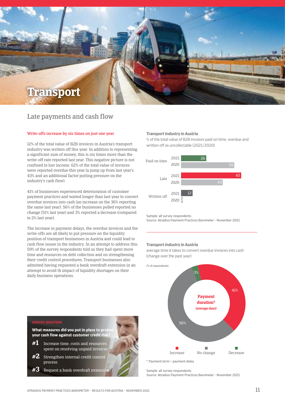

### Late payments and cash flow

### Write-offs increase by six times on just one year

12% of the total value of B2B invoices in Austria's transport industry was written off this year. In addition to representing a significant sum of money, this is six times more than the write-off rate reported last year. This negative picture is not confined to lost income. 62% of the total value of invoices were reported overdue this year (a jump up from last year's 43% and an additional factor putting pressure on the industry's cash flow).

41% of businesses experienced deterioration of customer payment practices and waited longer than last year to convert overdue invoices into cash (an increase on the 36% reporting the same last year). 56% of the businesses polled reported no change (51% last year) and 3% reported a decrease (compared to 2% last year).

The increase in payment delays, the overdue invoices and the write-offs are all likely to put pressure on the liquidity position of transport businesses in Austria and could lead to cash flow issues in the industry. In an attempt to address this, 59% of the survey respondents told us they had spent more time and resources on debt collection and on strengthening their credit control procedures. Transport businesses also admitted having requested a bank overdraft extension in an attempt to avoid th impact of liquidity shortages on their daily business operations.

### **Transport industry in Austria**

% of the total value of B2B invoices paid on time, overdue and written off as uncollectable (2021/2020)



sample: all survey respondents

source: Atradius Payment Practices Barometer - November 2021

#### **Transport industry in Austria**

average time it takes to convert overdue invoices into cash (change over the past year)



#### sample: all survey respondents source: Atradius Payment Practices Barometer - November 2021

#### **Survey queStion**

**What measures did you put in place to prote your cash flow against customer credit risk?**

- **#1** Increase time, costs and resources spent on resolving unpaid invoices
- **#2** Strengthen internal credit control process
- **#3** Request a bank overdraft extension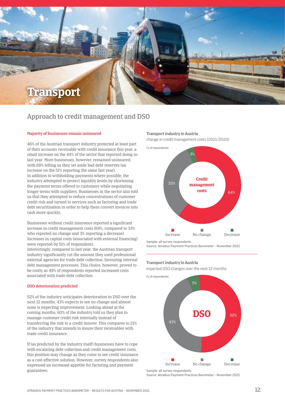

### Approach to credit management and DSO

### Majority of businesses remain uninsured

46% of the Austrian transport industry protected at least part of their accounts receivable with credit insurance this year, a small increase on the 44% of the sector that reported doing so last year. More businesses, however, remained uninsured, with 68% telling us they set aside bad debt reserves (an increase on the 51% reporting the same last year). In addition to withholding payments where possible, the industry attempted to protect liquidity levels by shortening the payment terms offered to customers while negotiating longer terms with suppliers. Businesses in the sector also told us that they attempted to reduce concentrations of customer credit risk and turned to services such as factoring and trade debt securitisation in order to help them convert invoices into cash more quickly.

Businesses without credit insurance reported a significant increase in credit management costs (64%, compared to 33% who reported no change and 3% reporting a decrease). Increases in capital costs (associated with external financing) were reported by 51% of respondents.

Interestingly, compared to last year, the Austrian transport industry significantly cut the amount they used professional external agencies for trade debt collection, favouring internal debt management processes. This choice, however, proved to be costly as 49% of respondents reported increased costs associated with trade debt collection.

### DSO deterioration predicted

52% of the industry anticipates deterioration in DSO over the next 12 months. 43% expects to see no change and almost none is expecting improvement. Looking ahead at the coming months, 60% of the industry told us they plan to manage customer credit risk internally instead of transferring the risk to a credit insurer. This compares to 21% of the industry that intends to insure their receivables with trade credit insurance.

If (as predicted by the industry itself) businesses have to cope with escalating debt collection and credit management costs. this position may change as they come to see credit insurance as a cost-effective solution. However, survey respondents also expressed an increased appetite for factoring and payment guarantees.

### **Transport industry in Austria**

change in credit management costs (2021/2020)



sample: all survey respondents

source: Atradius Payment Practices Barometer - November 2021

### **Transport industry in Austria**

expected DSO changes over the next 12 months



source: Atradius Payment Practices Barometer - November 2021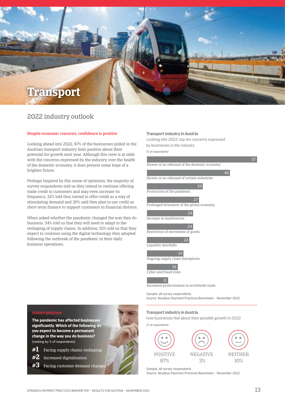

### 2022 industry outlook

### Despite economic concerns, confidence is positive

Looking ahead into 2022, 87% of the businesses polled in the Austrian transport industry feels positive about their potential for growth next year. Although this view is at odds with the concerns expressed by the industry over the health of the domestic economy, it does present some hope of a brighter future.

Perhaps inspired by this sense of optimism, the majority of survey respondents told us they intend to continue offering trade credit to customers and may even increase its frequency. 32% told they intend to offer credit as a way of stimulating demand and 30% said they plan to use credit as short-term finance to support customers in financial distress.

When asked whether the pandemic changed the way they do business, 54% told us that they will need to adapt to the reshaping of supply chains. In addition, 52% told us that they expect to continue using the digital technology they adopted following the outbreak of the pandemic in their daily business operations.

### **Transport industry in Austria**

looking into 2022: top ten concerns expressed by businesses in the industry

(% of respondents)



sample: all survey respondents source: Atradius Payment Practices Barometer - November 2021

#### **Transport industry in Austria**

how businesses feel about their possible growth in 2022



sample: all survey respondents

source: Atradius Payment Practices Barometer - November 2021

### **SURVEY QUESTION**

**The pandemic has affected businesses significantly. Which of the following do you expect to become a permanent change in the way you do business?**  (ranking by % of respondents)

- **#1** Facing supply chains reshaping
- **#2** Increased digitalisation
- **#3** Facing customer demand changes

ATRADIUS PAYMENT PRACTICES BAROMETER – RESULTS FOR AUSTRIA – NOVEMBER 2021 13 and 13 and 13 and 13 and 13 and 13 and 13 and 13 and 13 and 13 and 13 and 13 and 13 and 13 and 13 and 13 and 13 and 13 and 13 and 13 and 13 and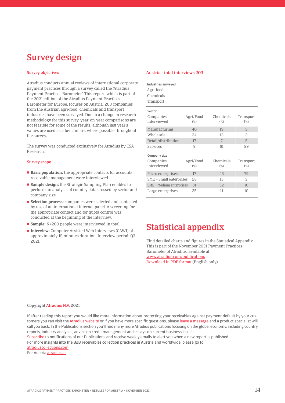### Survey design

### Survey objectives

Atradius conducts annual reviews of international corporate payment practices through a survey called the 'Atradius Payment Practices Barometer'. This report, which is part of the 2021 edition of the Atradius Payment Practices Barometer for Europe, focuses on Austria. 203 companies from the Austrian agri-food, chemicals and transport industries have been surveyed. Due to a change in research methodology for this survey, year-on-year comparisons are not feasible for some of the results, although last year's values are used as a benchmark where possible throughout the survey.

The survey was conducted exclusively for Atradius by CSA Research.

#### Survey scope

- **Basic population:** the appropriate contacts for accounts receivable management were interviewed.
- **Sample design:** the Strategic Sampling Plan enables to perform an analysis of country data crossed by sector and company size.
- **Selection process:** companies were selected and contacted by use of an international internet panel. A screening for the appropriate contact and for quota control was conducted at the beginning of the interview.
- **Sample:** N=200 people were interviewed in total.
- **Interview:** Computer Assisted Web Interviews (CAWI) of approximately 15 minutes duration. Interview period: Q3 2021.

### Austria - total interviews 203

| Industries surveyed<br>Agri-food<br>Chemicals<br>Transport |                     |                     |                     |
|------------------------------------------------------------|---------------------|---------------------|---------------------|
| Sector                                                     |                     |                     |                     |
| Companies<br>interviewed                                   | Agri/Food<br>$(\%)$ | Chemicals<br>(%)    | Transport<br>$(\%)$ |
| Manufacturing                                              | 40                  | 19                  | 3                   |
| Wholesale                                                  | 34                  | 13                  | 3                   |
| Retail/distribution                                        | 17                  | 7                   | 5                   |
| Services                                                   | 9                   | 61                  | 89                  |
| Company size                                               |                     |                     |                     |
| Companies<br>interviewed                                   | Agri/Food<br>$(\%)$ | Chemicals<br>$(\%)$ | Transport<br>$(\%)$ |
| Micro enterprises                                          | 17                  | 43                  | 79                  |
| SME - Small enterprises                                    | 28                  | 15                  | 2.                  |
| SME - Medium enterprises                                   | 31                  | 32                  | 10                  |
| Large enterprises                                          | 25                  | 11                  | 10                  |

### Statistical appendix

Find detailed charts and figures in the Statistical Appendix. This is part of the November 2021 Payment Practices Barometer of Atradius, available at [www.atradius.com/publications](https://group.atradius.com/publications/) [Download in PDF format](https://group.atradius.com/documents/ppb21_stat_app_we.pdf ) (English only).

### Copyright [Atradius N.V.](https://group.atradius.com/) 2021

If after reading this report you would like more information about protecting your receivables against payment default by your customers you can visit the [Atradius website](https://group.atradius.com/) or if you have more specific questions, please [leave a message](https://group.atradius.com/contact-us/) and a product specialist will call you back. In the Publications section you'll find many more Atradius publications focusing on the global economy, including country reports, industry analyses, advice on credit management and essays on current business issues.

Subscribe to notifications of our Publications and receive weekly emails to alert you when a new report is published.

for more insights into the B2B receivables collection practices in Austria and worldwide, please go to

[atradiuscollections.com](https://atradiuscollections.com/global/)

For Austria **atradius.at**